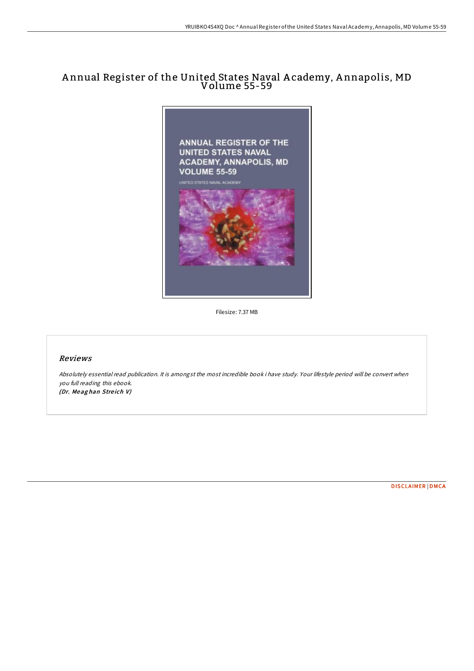# A nnual Register of the United States Naval A cademy, A nnapolis, MD Volume 55-59



Filesize: 7.37 MB

# Reviews

Absolutely essential read publication. It is amongst the most incredible book i have study. Your lifestyle period will be convert when you full reading this ebook. (Dr. Meaghan Streich V)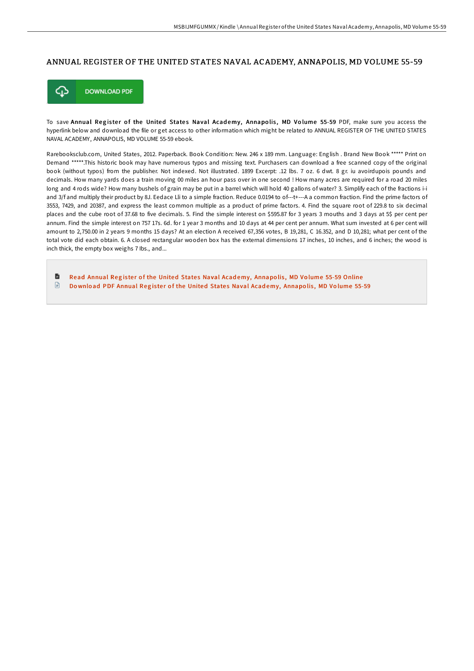### ANNUAL REGISTER OF THE UNITED STATES NAVAL ACADEMY, ANNAPOLIS, MD VOLUME 55-59



To save Annual Register of the United States Naval Academy, Annapolis, MD Volume 55-59 PDF, make sure you access the hyperlink below and download the file or get access to other information which might be related to ANNUAL REGISTER OF THE UNITED STATES NAVAL ACADEMY, ANNAPOLIS, MD VOLUME 55-59 ebook.

Rarebooksclub.com, United States, 2012. Paperback. Book Condition: New. 246 x 189 mm. Language: English . Brand New Book \*\*\*\*\* Print on Demand \*\*\*\*\*.This historic book may have numerous typos and missing text. Purchasers can download a free scanned copy of the original book (without typos) from the publisher. Not indexed. Not illustrated. 1899 Excerpt: .12 lbs. 7 oz. 6 dwt. 8 gr. iu avoirdupois pounds and decimals. How many yards does a train moving 00 miles an hour pass over in one second ! How many acres are required for a road 20 miles long and 4 rods wide? How many bushels of grain may be put in a barrel which will hold 40 gallons of water? 3. Simplify each of the fractions i-i and 3/f and multiply their product by 8J. Eedace Lli to a simple fraction. Reduce 0.0194 to of---t+---A a common fraction. Find the prime factors of 3553, 7429, and 20387, and express the least common multiple as a product of prime factors. 4. Find the square root of 229.8 to six decimal places and the cube root of 37.68 to five decimals. 5. Find the simple interest on \$595.87 for 3 years 3 mouths and 3 days at 5\$ per cent per annum. Find the simple interest on 757 17s. 6d. for 1 year 3 months and 10 days at 44 per cent per annum. What sum invested at 6 per cent will amount to 2,750.00 in 2 years 9 months 15 days? At an election A received 67,356 votes, B 19,281, C 16.352, and D 10,281; what per cent of the total vote did each obtain. 6. A closed rectangular wooden box has the external dimensions 17 inches, 10 inches, and 6 inches; the wood is inch thick, the empty box weighs 7 Ibs., and...

 $\blacksquare$ Read Annual Register of the United States Naval Academy, [Annapo](http://almighty24.tech/annual-register-of-the-united-states-naval-acade.html)lis, MD Volume 55-59 Online  $\textcolor{red}{\Box}$ Download PDF Annual Register of the United States Naval Academy, [Annapo](http://almighty24.tech/annual-register-of-the-united-states-naval-acade.html)lis, MD Volume 55-59